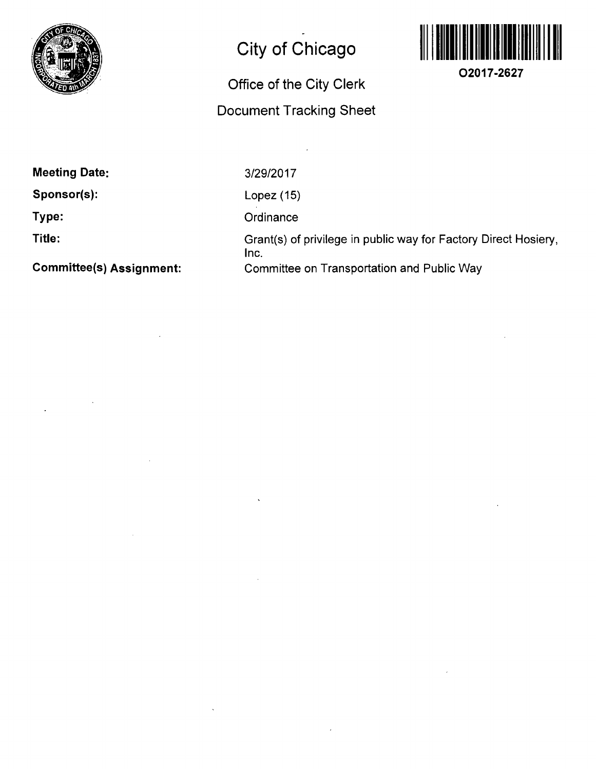

## **City of Chicago**

## **Office of the City Clerk Document Tracking Sheet**



**O2017-2627** 

**Meeting Date:** 

**Sponsor(s):** 

**Type:** 

**Title:** 

**Committee(s) Assignment:** 

3/29/2017

Lopez (15)

**Ordinance** 

Grant(s) of privilege in public way for Factory Direct Hosiery, Inc. Committee on Transportation and Public Way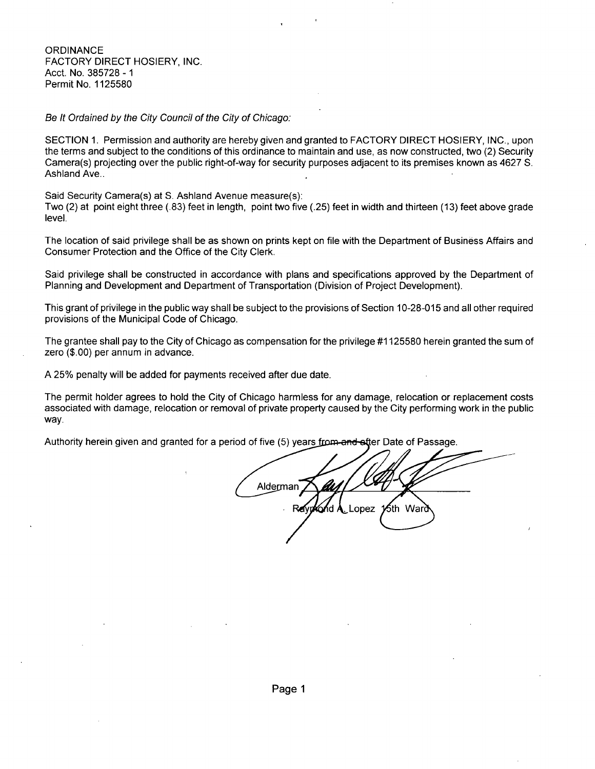**ORDINANCE** FACTORY DIRECT HOSIERY, INC. Acct. No. 385728 - 1 Permit No. 1125580

Be It Ordained by the City Council of the City of Chicago:

SECTION 1. Permission and authority are hereby given and granted to FACTORY DIRECT HOSIERY, INC., upon the terms and subject to the conditions ofthis ordinance to maintain and use, as now constructed, two (2) Security Camera(s) projecting over the public right-of-way for security purposes adjacent to its premises known as 4627 S. Ashland Ave..

Said Security Camera(s) at S. Ashland Avenue measure(s):

Two (2) at point eight three (.83) feet in length, point two five (.25) feet in width and thirteen (13) feet above grade level.

The location of said privilege shall be as shown on prints kept on file with the Department of Business Affairs and Consumer Protection and the Office of the City Clerk.

Said privilege shall be constructed in accordance with plans and specifications approved by the Department of Planning and Development and Department of Transportation (Division of Project Development).

This grant of privilege in the public way shall be subject to the provisions of Section 10-28-015 and all other required provisions of the Municipal Code of Chicago.

The grantee shall pay to the City of Chicago as compensation for the privilege #1125580 herein granted the sum of zero (\$.00) per annum in advance.

A 25% penalty will be added for payments received after due date.

The permit holder agrees to hold the City of Chicago harmless for any damage, relocation or replacement costs associated with damage, relocation or removal of private property caused by the City performing work in the public way.

Authority herein given and granted for a period of five (5) years from and ofter Date of Passage.

Alderman Lopez ∕5th Warð R⊿ {d /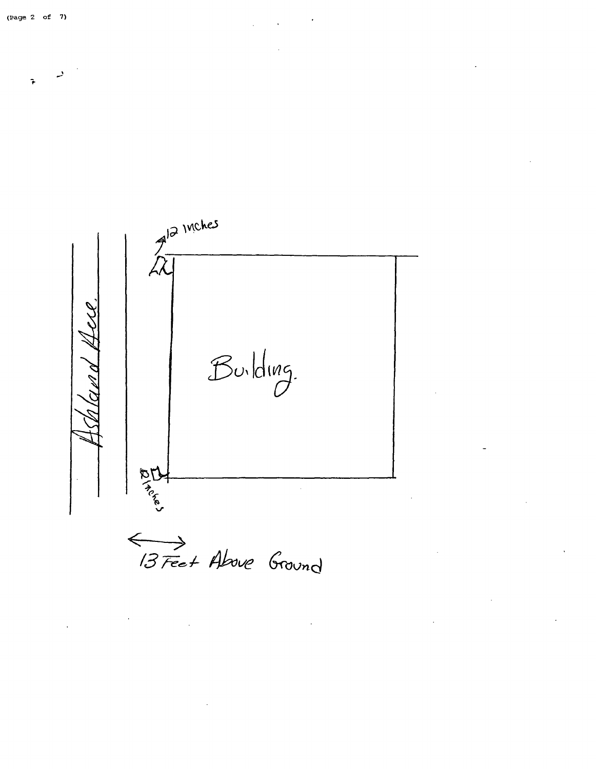$7^{12}$  Inches  $B$ uilding. **DDA** 

(3 Feet Above Ground

 $\ddot{\phantom{0}}$ 

 $\hat{\boldsymbol{\cdot}$ 

 $\ddot{\mathbf{r}}$ 

 $\bar{\mathcal{A}}$